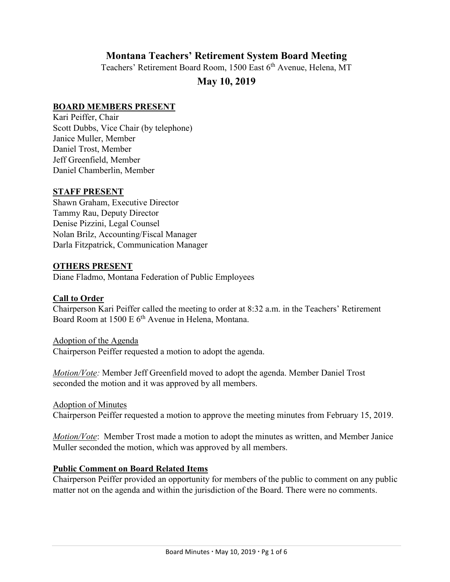# **Montana Teachers' Retirement System Board Meeting**

Teachers' Retirement Board Room, 1500 East 6<sup>th</sup> Avenue, Helena, MT

# **May 10, 2019**

#### **BOARD MEMBERS PRESENT**

Kari Peiffer, Chair Scott Dubbs, Vice Chair (by telephone) Janice Muller, Member Daniel Trost, Member Jeff Greenfield, Member Daniel Chamberlin, Member

#### **STAFF PRESENT**

Shawn Graham, Executive Director Tammy Rau, Deputy Director Denise Pizzini, Legal Counsel Nolan Brilz, Accounting/Fiscal Manager Darla Fitzpatrick, Communication Manager

#### **OTHERS PRESENT**

Diane Fladmo, Montana Federation of Public Employees

#### **Call to Order**

Chairperson Kari Peiffer called the meeting to order at 8:32 a.m. in the Teachers' Retirement Board Room at 1500 E 6<sup>th</sup> Avenue in Helena, Montana.

Adoption of the Agenda Chairperson Peiffer requested a motion to adopt the agenda.

*Motion/Vote:* Member Jeff Greenfield moved to adopt the agenda. Member Daniel Trost seconded the motion and it was approved by all members.

Adoption of Minutes

Chairperson Peiffer requested a motion to approve the meeting minutes from February 15, 2019.

*Motion/Vote*: Member Trost made a motion to adopt the minutes as written, and Member Janice Muller seconded the motion, which was approved by all members.

#### **Public Comment on Board Related Items**

Chairperson Peiffer provided an opportunity for members of the public to comment on any public matter not on the agenda and within the jurisdiction of the Board. There were no comments.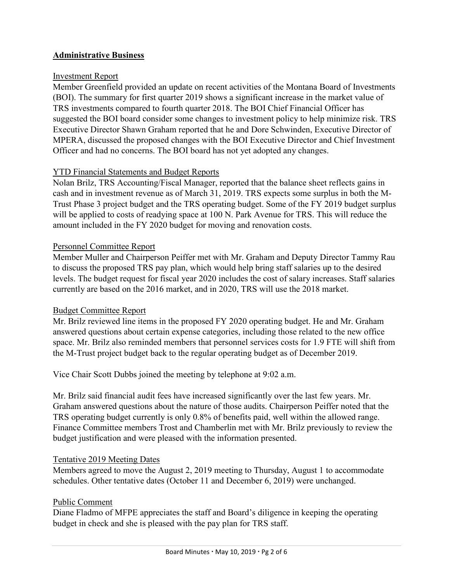# **Administrative Business**

### Investment Report

Member Greenfield provided an update on recent activities of the Montana Board of Investments (BOI). The summary for first quarter 2019 shows a significant increase in the market value of TRS investments compared to fourth quarter 2018. The BOI Chief Financial Officer has suggested the BOI board consider some changes to investment policy to help minimize risk. TRS Executive Director Shawn Graham reported that he and Dore Schwinden, Executive Director of MPERA, discussed the proposed changes with the BOI Executive Director and Chief Investment Officer and had no concerns. The BOI board has not yet adopted any changes.

# YTD Financial Statements and Budget Reports

Nolan Brilz, TRS Accounting/Fiscal Manager, reported that the balance sheet reflects gains in cash and in investment revenue as of March 31, 2019. TRS expects some surplus in both the M-Trust Phase 3 project budget and the TRS operating budget. Some of the FY 2019 budget surplus will be applied to costs of readying space at 100 N. Park Avenue for TRS. This will reduce the amount included in the FY 2020 budget for moving and renovation costs.

### Personnel Committee Report

Member Muller and Chairperson Peiffer met with Mr. Graham and Deputy Director Tammy Rau to discuss the proposed TRS pay plan, which would help bring staff salaries up to the desired levels. The budget request for fiscal year 2020 includes the cost of salary increases. Staff salaries currently are based on the 2016 market, and in 2020, TRS will use the 2018 market.

#### Budget Committee Report

Mr. Brilz reviewed line items in the proposed FY 2020 operating budget. He and Mr. Graham answered questions about certain expense categories, including those related to the new office space. Mr. Brilz also reminded members that personnel services costs for 1.9 FTE will shift from the M-Trust project budget back to the regular operating budget as of December 2019.

Vice Chair Scott Dubbs joined the meeting by telephone at 9:02 a.m.

Mr. Brilz said financial audit fees have increased significantly over the last few years. Mr. Graham answered questions about the nature of those audits. Chairperson Peiffer noted that the TRS operating budget currently is only 0.8% of benefits paid, well within the allowed range. Finance Committee members Trost and Chamberlin met with Mr. Brilz previously to review the budget justification and were pleased with the information presented.

#### Tentative 2019 Meeting Dates

Members agreed to move the August 2, 2019 meeting to Thursday, August 1 to accommodate schedules. Other tentative dates (October 11 and December 6, 2019) were unchanged.

# Public Comment

Diane Fladmo of MFPE appreciates the staff and Board's diligence in keeping the operating budget in check and she is pleased with the pay plan for TRS staff.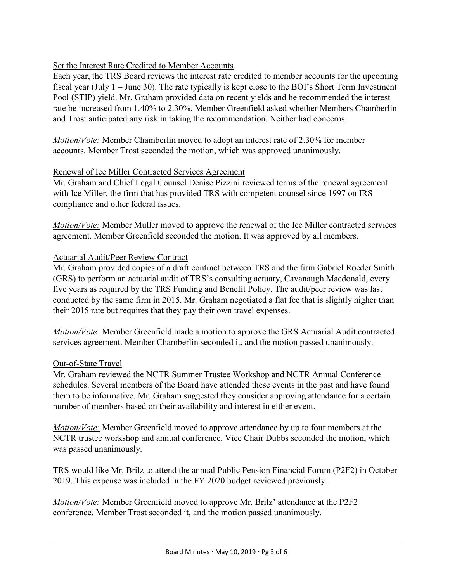# Set the Interest Rate Credited to Member Accounts

Each year, the TRS Board reviews the interest rate credited to member accounts for the upcoming fiscal year (July 1 – June 30). The rate typically is kept close to the BOI's Short Term Investment Pool (STIP) yield. Mr. Graham provided data on recent yields and he recommended the interest rate be increased from 1.40% to 2.30%. Member Greenfield asked whether Members Chamberlin and Trost anticipated any risk in taking the recommendation. Neither had concerns.

*Motion/Vote:* Member Chamberlin moved to adopt an interest rate of 2.30% for member accounts. Member Trost seconded the motion, which was approved unanimously.

# Renewal of Ice Miller Contracted Services Agreement

Mr. Graham and Chief Legal Counsel Denise Pizzini reviewed terms of the renewal agreement with Ice Miller, the firm that has provided TRS with competent counsel since 1997 on IRS compliance and other federal issues.

*Motion/Vote:* Member Muller moved to approve the renewal of the Ice Miller contracted services agreement. Member Greenfield seconded the motion. It was approved by all members.

# Actuarial Audit/Peer Review Contract

Mr. Graham provided copies of a draft contract between TRS and the firm Gabriel Roeder Smith (GRS) to perform an actuarial audit of TRS's consulting actuary, Cavanaugh Macdonald, every five years as required by the TRS Funding and Benefit Policy. The audit/peer review was last conducted by the same firm in 2015. Mr. Graham negotiated a flat fee that is slightly higher than their 2015 rate but requires that they pay their own travel expenses.

*Motion/Vote:* Member Greenfield made a motion to approve the GRS Actuarial Audit contracted services agreement. Member Chamberlin seconded it, and the motion passed unanimously.

# Out-of-State Travel

Mr. Graham reviewed the NCTR Summer Trustee Workshop and NCTR Annual Conference schedules. Several members of the Board have attended these events in the past and have found them to be informative. Mr. Graham suggested they consider approving attendance for a certain number of members based on their availability and interest in either event.

*Motion/Vote:* Member Greenfield moved to approve attendance by up to four members at the NCTR trustee workshop and annual conference. Vice Chair Dubbs seconded the motion, which was passed unanimously.

TRS would like Mr. Brilz to attend the annual Public Pension Financial Forum (P2F2) in October 2019. This expense was included in the FY 2020 budget reviewed previously.

*Motion/Vote:* Member Greenfield moved to approve Mr. Brilz' attendance at the P2F2 conference. Member Trost seconded it, and the motion passed unanimously.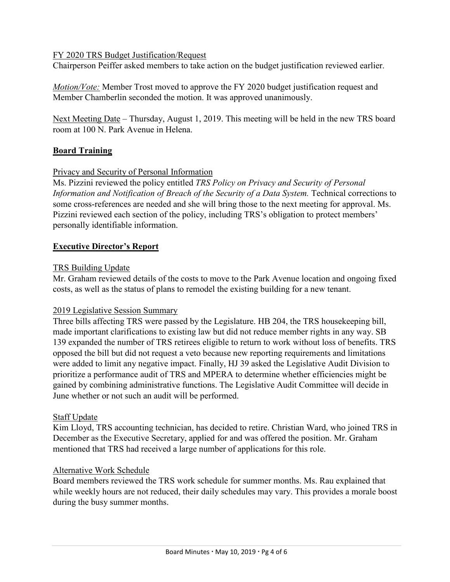### FY 2020 TRS Budget Justification/Request

Chairperson Peiffer asked members to take action on the budget justification reviewed earlier.

*Motion/Vote:* Member Trost moved to approve the FY 2020 budget justification request and Member Chamberlin seconded the motion. It was approved unanimously.

Next Meeting Date – Thursday, August 1, 2019. This meeting will be held in the new TRS board room at 100 N. Park Avenue in Helena.

# **Board Training**

### Privacy and Security of Personal Information

Ms. Pizzini reviewed the policy entitled *TRS Policy on Privacy and Security of Personal Information and Notification of Breach of the Security of a Data System.* Technical corrections to some cross-references are needed and she will bring those to the next meeting for approval. Ms. Pizzini reviewed each section of the policy, including TRS's obligation to protect members' personally identifiable information.

### **Executive Director's Report**

#### TRS Building Update

Mr. Graham reviewed details of the costs to move to the Park Avenue location and ongoing fixed costs, as well as the status of plans to remodel the existing building for a new tenant.

#### 2019 Legislative Session Summary

Three bills affecting TRS were passed by the Legislature. HB 204, the TRS housekeeping bill, made important clarifications to existing law but did not reduce member rights in any way. SB 139 expanded the number of TRS retirees eligible to return to work without loss of benefits. TRS opposed the bill but did not request a veto because new reporting requirements and limitations were added to limit any negative impact. Finally, HJ 39 asked the Legislative Audit Division to prioritize a performance audit of TRS and MPERA to determine whether efficiencies might be gained by combining administrative functions. The Legislative Audit Committee will decide in June whether or not such an audit will be performed.

#### Staff Update

Kim Lloyd, TRS accounting technician, has decided to retire. Christian Ward, who joined TRS in December as the Executive Secretary, applied for and was offered the position. Mr. Graham mentioned that TRS had received a large number of applications for this role.

#### Alternative Work Schedule

Board members reviewed the TRS work schedule for summer months. Ms. Rau explained that while weekly hours are not reduced, their daily schedules may vary. This provides a morale boost during the busy summer months.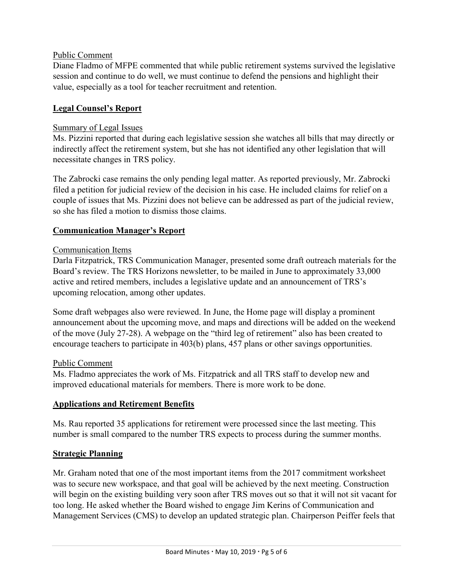# Public Comment

Diane Fladmo of MFPE commented that while public retirement systems survived the legislative session and continue to do well, we must continue to defend the pensions and highlight their value, especially as a tool for teacher recruitment and retention.

# **Legal Counsel's Report**

# Summary of Legal Issues

Ms. Pizzini reported that during each legislative session she watches all bills that may directly or indirectly affect the retirement system, but she has not identified any other legislation that will necessitate changes in TRS policy.

The Zabrocki case remains the only pending legal matter. As reported previously, Mr. Zabrocki filed a petition for judicial review of the decision in his case. He included claims for relief on a couple of issues that Ms. Pizzini does not believe can be addressed as part of the judicial review, so she has filed a motion to dismiss those claims.

# **Communication Manager's Report**

# Communication Items

Darla Fitzpatrick, TRS Communication Manager, presented some draft outreach materials for the Board's review. The TRS Horizons newsletter, to be mailed in June to approximately 33,000 active and retired members, includes a legislative update and an announcement of TRS's upcoming relocation, among other updates.

Some draft webpages also were reviewed. In June, the Home page will display a prominent announcement about the upcoming move, and maps and directions will be added on the weekend of the move (July 27-28). A webpage on the "third leg of retirement" also has been created to encourage teachers to participate in 403(b) plans, 457 plans or other savings opportunities.

# Public Comment

Ms. Fladmo appreciates the work of Ms. Fitzpatrick and all TRS staff to develop new and improved educational materials for members. There is more work to be done.

# **Applications and Retirement Benefits**

Ms. Rau reported 35 applications for retirement were processed since the last meeting. This number is small compared to the number TRS expects to process during the summer months.

# **Strategic Planning**

Mr. Graham noted that one of the most important items from the 2017 commitment worksheet was to secure new workspace, and that goal will be achieved by the next meeting. Construction will begin on the existing building very soon after TRS moves out so that it will not sit vacant for too long. He asked whether the Board wished to engage Jim Kerins of Communication and Management Services (CMS) to develop an updated strategic plan. Chairperson Peiffer feels that